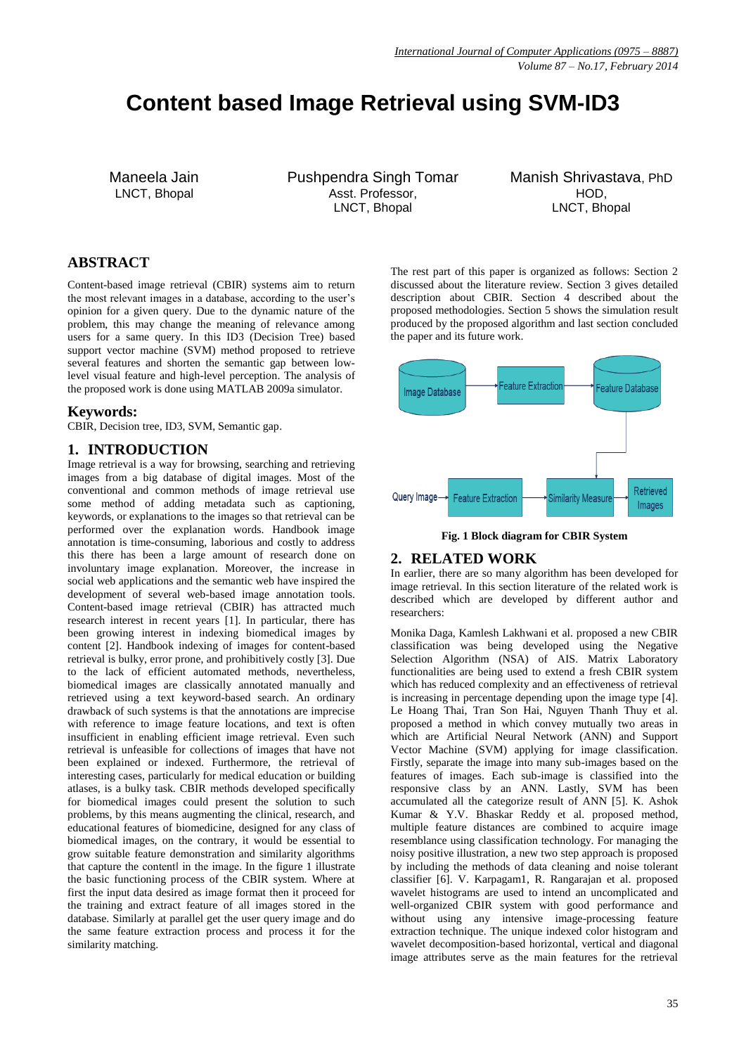# **Content based Image Retrieval using SVM-ID3**

Maneela Jain LNCT, Bhopal

Pushpendra Singh Tomar Asst. Professor, LNCT, Bhopal

Manish Shrivastava, PhD HOD, LNCT, Bhopal

# **ABSTRACT**

Content-based image retrieval (CBIR) systems aim to return the most relevant images in a database, according to the user's opinion for a given query. Due to the dynamic nature of the problem, this may change the meaning of relevance among users for a same query. In this ID3 (Decision Tree) based support vector machine (SVM) method proposed to retrieve several features and shorten the semantic gap between lowlevel visual feature and high-level perception. The analysis of the proposed work is done using MATLAB 2009a simulator.

### **Keywords:**

CBIR, Decision tree, ID3, SVM, Semantic gap.

## **1. INTRODUCTION**

Image retrieval is a way for browsing, searching and retrieving images from a big database of digital images. Most of the conventional and common methods of image retrieval use some method of adding metadata such as captioning, keywords, or explanations to the images so that retrieval can be performed over the explanation words. Handbook image annotation is time-consuming, laborious and costly to address this there has been a large amount of research done on involuntary image explanation. Moreover, the increase in social web applications and the semantic web have inspired the development of several web-based image annotation tools. Content-based image retrieval (CBIR) has attracted much research interest in recent years [1]. In particular, there has been growing interest in indexing biomedical images by content [2]. Handbook indexing of images for content-based retrieval is bulky, error prone, and prohibitively costly [3]. Due to the lack of efficient automated methods, nevertheless, biomedical images are classically annotated manually and retrieved using a text keyword-based search. An ordinary drawback of such systems is that the annotations are imprecise with reference to image feature locations, and text is often insufficient in enabling efficient image retrieval. Even such retrieval is unfeasible for collections of images that have not been explained or indexed. Furthermore, the retrieval of interesting cases, particularly for medical education or building atlases, is a bulky task. CBIR methods developed specifically for biomedical images could present the solution to such problems, by this means augmenting the clinical, research, and educational features of biomedicine, designed for any class of biomedical images, on the contrary, it would be essential to grow suitable feature demonstration and similarity algorithms that capture the content‖ in the image. In the figure 1 illustrate the basic functioning process of the CBIR system. Where at first the input data desired as image format then it proceed for the training and extract feature of all images stored in the database. Similarly at parallel get the user query image and do the same feature extraction process and process it for the similarity matching.

The rest part of this paper is organized as follows: Section 2 discussed about the literature review. Section 3 gives detailed description about CBIR. Section 4 described about the proposed methodologies. Section 5 shows the simulation result produced by the proposed algorithm and last section concluded the paper and its future work.



**Fig. 1 Block diagram for CBIR System**

### **2. RELATED WORK**

In earlier, there are so many algorithm has been developed for image retrieval. In this section literature of the related work is described which are developed by different author and researchers:

Monika Daga, Kamlesh Lakhwani et al. proposed a new CBIR classification was being developed using the Negative Selection Algorithm (NSA) of AIS. Matrix Laboratory functionalities are being used to extend a fresh CBIR system which has reduced complexity and an effectiveness of retrieval is increasing in percentage depending upon the image type [4]. Le Hoang Thai, Tran Son Hai, Nguyen Thanh Thuy et al. proposed a method in which convey mutually two areas in which are Artificial Neural Network (ANN) and Support Vector Machine (SVM) applying for image classification. Firstly, separate the image into many sub-images based on the features of images. Each sub-image is classified into the responsive class by an ANN. Lastly, SVM has been accumulated all the categorize result of ANN [5]. K. Ashok Kumar & Y.V. Bhaskar Reddy et al. proposed method, multiple feature distances are combined to acquire image resemblance using classification technology. For managing the noisy positive illustration, a new two step approach is proposed by including the methods of data cleaning and noise tolerant classifier [6]. V. Karpagam1, R. Rangarajan et al. proposed wavelet histograms are used to intend an uncomplicated and well-organized CBIR system with good performance and without using any intensive image-processing feature extraction technique. The unique indexed color histogram and wavelet decomposition-based horizontal, vertical and diagonal image attributes serve as the main features for the retrieval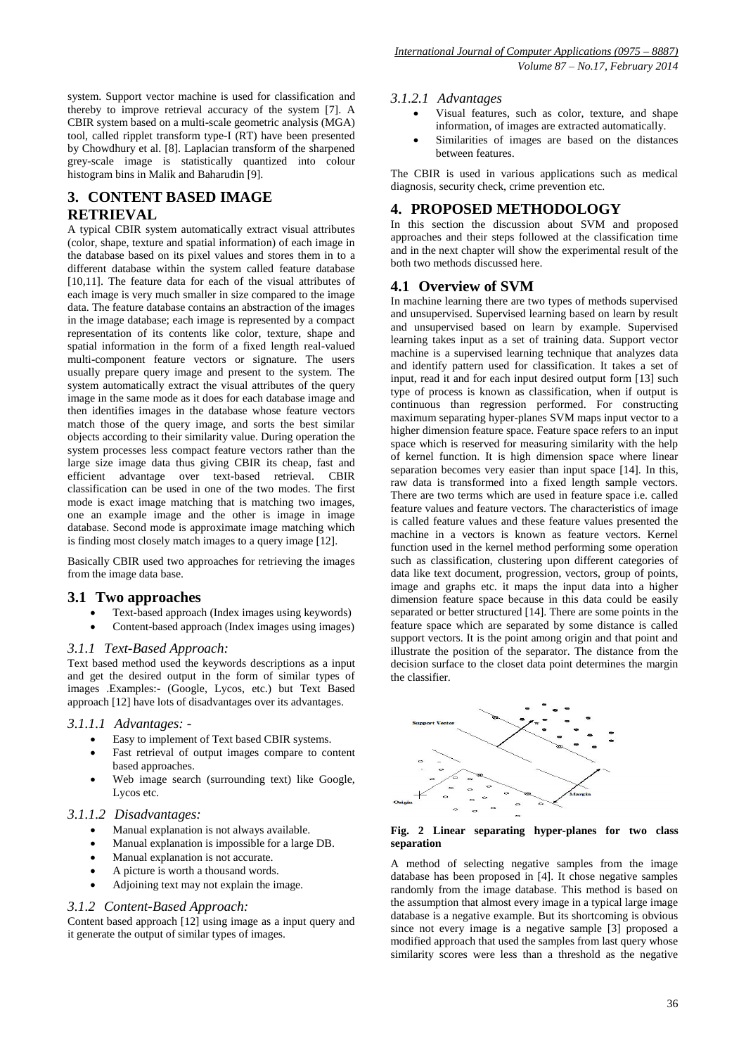system. Support vector machine is used for classification and thereby to improve retrieval accuracy of the system [7]. A CBIR system based on a multi-scale geometric analysis (MGA) tool, called ripplet transform type-I (RT) have been presented by Chowdhury et al. [8]. Laplacian transform of the sharpened grey-scale image is statistically quantized into colour histogram bins in Malik and Baharudin [9].

# **3. CONTENT BASED IMAGE**

## **RETRIEVAL**

A typical CBIR system automatically extract visual attributes (color, shape, texture and spatial information) of each image in the database based on its pixel values and stores them in to a different database within the system called feature database [10,11]. The feature data for each of the visual attributes of each image is very much smaller in size compared to the image data. The feature database contains an abstraction of the images in the image database; each image is represented by a compact representation of its contents like color, texture, shape and spatial information in the form of a fixed length real-valued multi-component feature vectors or signature. The users usually prepare query image and present to the system. The system automatically extract the visual attributes of the query image in the same mode as it does for each database image and then identifies images in the database whose feature vectors match those of the query image, and sorts the best similar objects according to their similarity value. During operation the system processes less compact feature vectors rather than the large size image data thus giving CBIR its cheap, fast and efficient advantage over text-based retrieval. CBIR classification can be used in one of the two modes. The first mode is exact image matching that is matching two images, one an example image and the other is image in image database. Second mode is approximate image matching which is finding most closely match images to a query image [12].

Basically CBIR used two approaches for retrieving the images from the image data base.

#### **3.1 Two approaches**

- Text-based approach (Index images using keywords)
- Content-based approach (Index images using images)

#### *3.1.1 Text-Based Approach:*

Text based method used the keywords descriptions as a input and get the desired output in the form of similar types of images .Examples:- (Google, Lycos, etc.) but Text Based approach [12] have lots of disadvantages over its advantages.

#### *3.1.1.1 Advantages: -*

- Easy to implement of Text based CBIR systems.
- Fast retrieval of output images compare to content based approaches.
- Web image search (surrounding text) like Google, Lycos etc.

#### *3.1.1.2 Disadvantages:*

- Manual explanation is not always available.
- Manual explanation is impossible for a large DB.
- Manual explanation is not accurate.
- A picture is worth a thousand words.
- Adjoining text may not explain the image.

#### *3.1.2 Content-Based Approach:*

Content based approach [12] using image as a input query and it generate the output of similar types of images.

#### *3.1.2.1 Advantages*

- Visual features, such as color, texture, and shape information, of images are extracted automatically.
- Similarities of images are based on the distances between features.

The CBIR is used in various applications such as medical diagnosis, security check, crime prevention etc.

## **4. PROPOSED METHODOLOGY**

In this section the discussion about SVM and proposed approaches and their steps followed at the classification time and in the next chapter will show the experimental result of the both two methods discussed here.

### **4.1 Overview of SVM**

In machine learning there are two types of methods supervised and unsupervised. Supervised learning based on learn by result and unsupervised based on learn by example. Supervised learning takes input as a set of training data. Support vector machine is a supervised learning technique that analyzes data and identify pattern used for classification. It takes a set of input, read it and for each input desired output form [13] such type of process is known as classification, when if output is continuous than regression performed. For constructing maximum separating hyper-planes SVM maps input vector to a higher dimension feature space. Feature space refers to an input space which is reserved for measuring similarity with the help of kernel function. It is high dimension space where linear separation becomes very easier than input space [14]. In this, raw data is transformed into a fixed length sample vectors. There are two terms which are used in feature space i.e. called feature values and feature vectors. The characteristics of image is called feature values and these feature values presented the machine in a vectors is known as feature vectors. Kernel function used in the kernel method performing some operation such as classification, clustering upon different categories of data like text document, progression, vectors, group of points, image and graphs etc. it maps the input data into a higher dimension feature space because in this data could be easily separated or better structured [14]. There are some points in the feature space which are separated by some distance is called support vectors. It is the point among origin and that point and illustrate the position of the separator. The distance from the decision surface to the closet data point determines the margin the classifier.



#### **Fig. 2 Linear separating hyper-planes for two class separation**

A method of selecting negative samples from the image database has been proposed in [4]. It chose negative samples randomly from the image database. This method is based on the assumption that almost every image in a typical large image database is a negative example. But its shortcoming is obvious since not every image is a negative sample [3] proposed a modified approach that used the samples from last query whose similarity scores were less than a threshold as the negative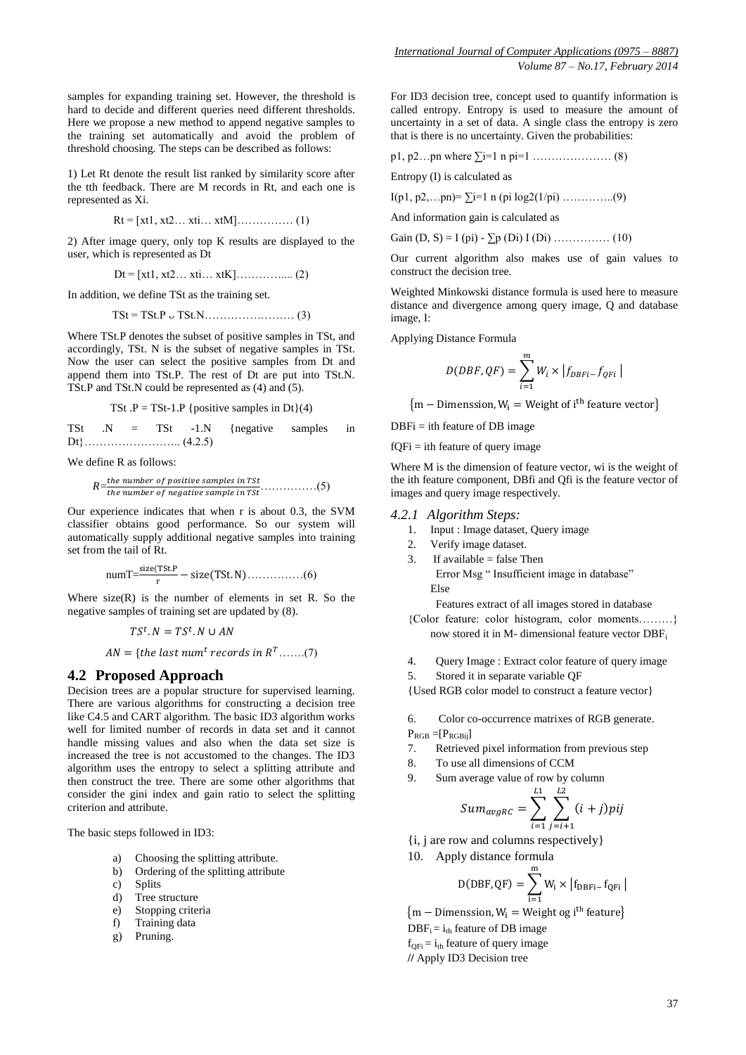1) Let Rt denote the result list ranked by similarity score after the tth feedback. There are M records in Rt, and each one is represented as Xi.

threshold choosing. The steps can be described as follows:

$$
Rt = [xt1, xt2...xt1...xtM]............(1)
$$

2) After image query, only top K results are displayed to the user, which is represented as Dt

$$
Dt = [xt1, xt2...xti...xtK]............ (2)
$$

In addition, we define TSt as the training set.

$$
TSt = TSt.P \cup TSt.N
$$
 (3)

Where TSt.P denotes the subset of positive samples in TSt, and accordingly, TSt. N is the subset of negative samples in TSt. Now the user can select the positive samples from Dt and append them into TSt.P. The rest of Dt are put into TSt.N. TSt.P and TSt.N could be represented as (4) and (5).

TSt 
$$
P = TSt-1.P
$$
 {positive samples in Dt}(4)

TSt .N = TSt -1.N {negative samples in Dt}…………………….. (4.2.5)

We define R as follows:

$$
R
$$
= $\frac{the$  number of positive samples in TSt  
the number of negative sample in TSt... (5)

Our experience indicates that when r is about 0.3, the SVM classifier obtains good performance. So our system will automatically supply additional negative samples into training set from the tail of Rt.

$$
numT = \frac{size(TSt.P)}{r} - size(TSt.N) \dots \dots \dots \dots \dots (6)
$$

Where  $size(R)$  is the number of elements in set R. So the negative samples of training set are updated by (8).

$$
TS^t.N = TS^t.N \cup AN
$$

 $AN = \{the last num<sup>t</sup> records in R<sup>T</sup>......(7)\}$ 

#### **4.2 Proposed Approach**

Decision trees are a popular structure for supervised learning. There are various algorithms for constructing a decision tree like C4.5 and CART algorithm. The basic ID3 algorithm works well for limited number of records in data set and it cannot handle missing values and also when the data set size is increased the tree is not accustomed to the changes. The ID3 algorithm uses the entropy to select a splitting attribute and then construct the tree. There are some other algorithms that consider the gini index and gain ratio to select the splitting criterion and attribute.

The basic steps followed in ID3:

- a) Choosing the splitting attribute.
- b) Ordering of the splitting attribute
- c) Splits
- d) Tree structure
- e) Stopping criteria
- f) Training data
- g) Pruning.

For ID3 decision tree, concept used to quantify information is called entropy. Entropy is used to measure the amount of uncertainty in a set of data. A single class the entropy is zero that is there is no uncertainty. Given the probabilities:

p1, p2…pn where ∑i=1 n pi=1 ………………… (8)

Entropy (I) is calculated as

I(p1, p2,...pn)=  $\Sigma$ i=1 n (pi log2(1/pi) …………...(9)

And information gain is calculated as

Gain  $(D, S) = I$  (pi) -  $\sum p(Di) I(Di)$  …………… (10)

Our current algorithm also makes use of gain values to construct the decision tree.

Weighted Minkowski distance formula is used here to measure distance and divergence among query image, Q and database image, I:

Applying Distance Formula

$$
D(DBF, QF) = \sum_{i=1}^{m} W_i \times |f_{DBFi} - f_{QFi}|
$$

 ${m -$  Dimenssion,  $W_i$  = Weight of i<sup>t</sup>

 $DBFi = i$ th feature of DB image

 $fQFi = i$ th feature of query image

Where M is the dimension of feature vector, wi is the weight of the ith feature component, DBfi and Qfi is the feature vector of images and query image respectively.

#### *4.2.1 Algorithm Steps:*

- 1. Input : Image dataset, Query image
- 2. Verify image dataset.
- 3. If available  $=$  false Then Error Msg " Insufficient image in database" Else

Features extract of all images stored in database

{Color feature: color histogram, color moments………} now stored it in M- dimensional feature vector DBF<sup>i</sup>

- 4. Query Image : Extract color feature of query image
- 5. Stored it in separate variable QF

{Used RGB color model to construct a feature vector}

6. Color co-occurrence matrixes of RGB generate.

 $P_{RGB} = [P_{RGBii}]$ 

- 7. Retrieved pixel information from previous step
- 8. To use all dimensions of CCM
- 9. Sum average value of row by column

$$
Sum_{avgRC} = \sum_{i=1}^{L1} \sum_{j=i+1}^{L2} (i+j)pij
$$

- {i, j are row and columns respectively}
- 10. Apply distance formula

$$
D(\text{DBF},\text{QF})=\sum_{i=1}^m W_i\times \left|f_{\text{DBFi}-}\,f_{\text{QFi}}\,\right|
$$

 ${m -$  Dimenssion,  $W_i$  = Weight og i<sup>th</sup> f  $DBF_i = i_{th}$  feature of DB image  $f_{\text{OE}} = i_{\text{th}}$  feature of query image

**//** Apply ID3 Decision tree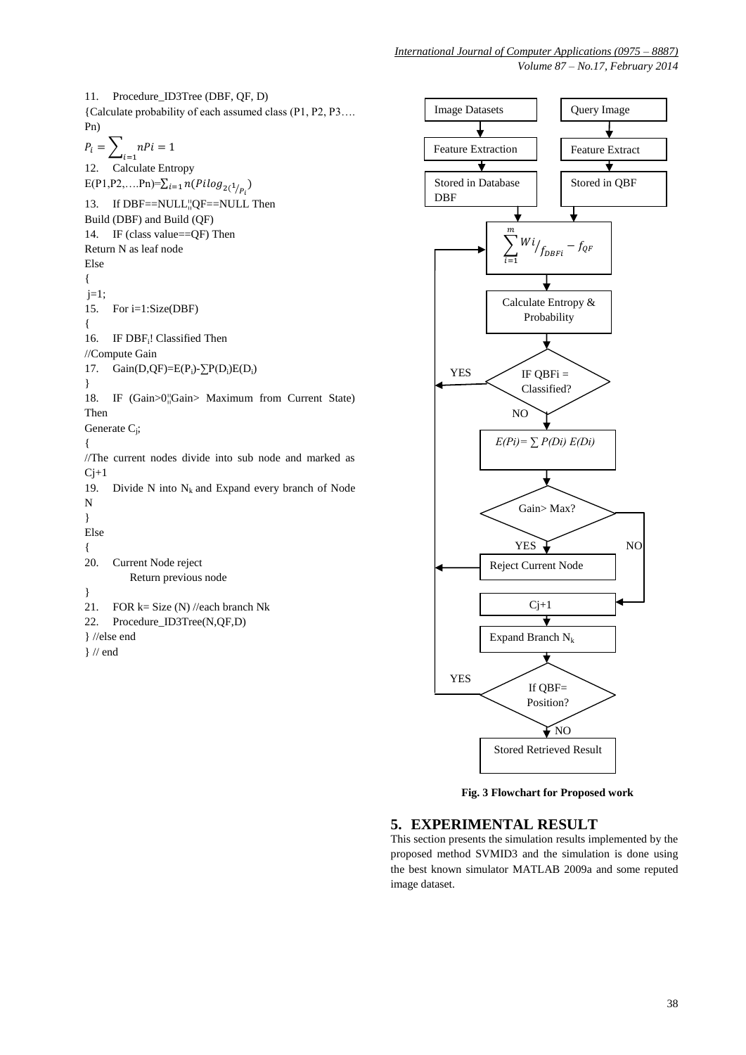*Volume 87 – No.17, February 2014*

11. Procedure\_ID3Tree (DBF, QF, D) {Calculate probability of each assumed class (P1, P2, P3…. Pn)  $P_i =$  $\sum_{i=1}^n nPi = 1$ 12. Calculate Entropy E(P1,P2,....Pn)= $\sum_{i=1} n(Pilog_{2(1/p_i)})$ 13. If DBF==NULL¦|QF==NULL Then Build (DBF) and Build (QF) 14. IF (class value==QF) Then Return N as leaf node Else {  $j=1;$ 15. For i=1:Size(DBF) { 16. IF DBF<sub>i</sub>! Classified Then //Compute Gain 17. Gain(D,QF)= $E(P_i)$ - $\sum P(D_i)E(D_i)$ } 18. IF (Gain>0¦¦Gain> Maximum from Current State) Then Generate  $C_i$ ; { //The current nodes divide into sub node and marked as  $Cj+1$ 19. Divide N into  $N_k$  and Expand every branch of Node N } Else { 20. Current Node reject Return previous node } 21. FOR  $k = Size(N)/\theta$ each branch Nk 22. Procedure\_ID3Tree(N,QF,D) } //else end } // end



 **Fig. 3 Flowchart for Proposed work**

## **5. EXPERIMENTAL RESULT**

This section presents the simulation results implemented by the proposed method SVMID3 and the simulation is done using the best known simulator MATLAB 2009a and some reputed image dataset.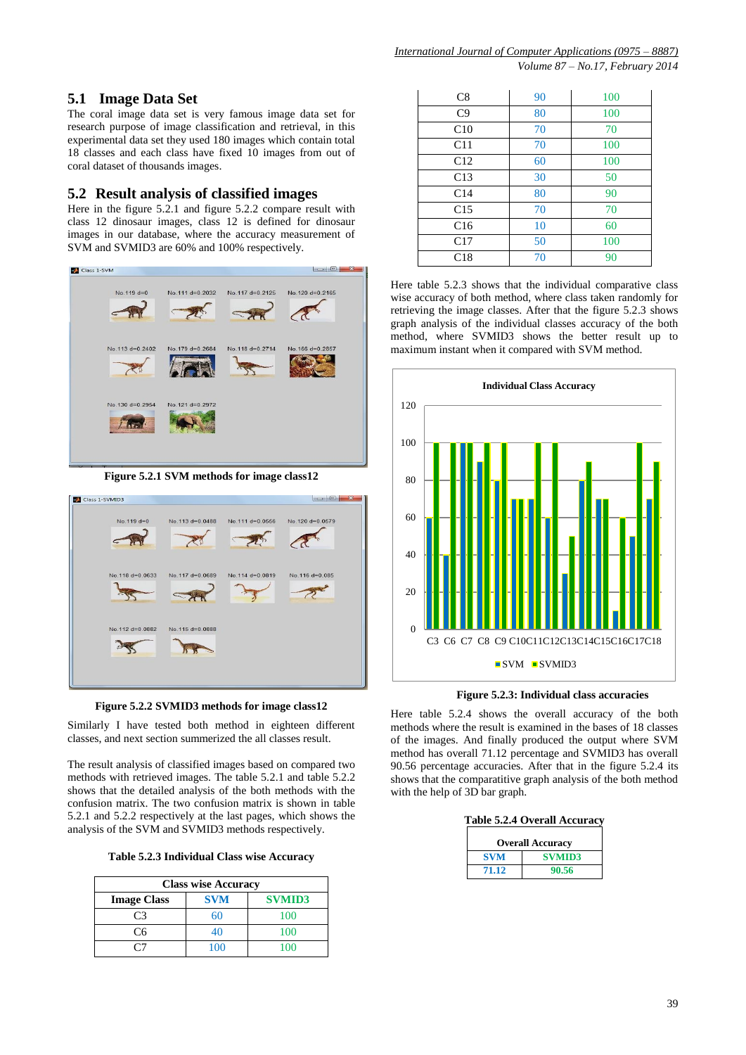# **5.1 Image Data Set**

The coral image data set is very famous image data set for research purpose of image classification and retrieval, in this experimental data set they used 180 images which contain total 18 classes and each class have fixed 10 images from out of coral dataset of thousands images.

## **5.2 Result analysis of classified images**

Here in the figure 5.2.1 and figure 5.2.2 compare result with class 12 dinosaur images, class 12 is defined for dinosaur images in our database, where the accuracy measurement of SVM and SVMID3 are 60% and 100% respectively.



**Figure 5.2.1 SVM methods for image class12**



**Figure 5.2.2 SVMID3 methods for image class12**

Similarly I have tested both method in eighteen different classes, and next section summerized the all classes result.

The result analysis of classified images based on compared two methods with retrieved images. The table 5.2.1 and table 5.2.2 shows that the detailed analysis of the both methods with the confusion matrix. The two confusion matrix is shown in table 5.2.1 and 5.2.2 respectively at the last pages, which shows the analysis of the SVM and SVMID3 methods respectively.

| Table 5.2.3 Individual Class wise Accuracy |  |
|--------------------------------------------|--|
|--------------------------------------------|--|

| <b>Class wise Accuracy</b>                        |     |     |  |  |  |  |  |  |  |  |
|---------------------------------------------------|-----|-----|--|--|--|--|--|--|--|--|
| <b>SVM</b><br><b>SVMID3</b><br><b>Image Class</b> |     |     |  |  |  |  |  |  |  |  |
| $\mathsf{C}^3$                                    | 60  | 100 |  |  |  |  |  |  |  |  |
| ۲6                                                | 40  | 100 |  |  |  |  |  |  |  |  |
|                                                   | 100 | 100 |  |  |  |  |  |  |  |  |

| C8              | 90 | 100 |
|-----------------|----|-----|
| C9              | 80 | 100 |
| C10             | 70 | 70  |
| C11             | 70 | 100 |
| C12             | 60 | 100 |
| C13             | 30 | 50  |
| C <sub>14</sub> | 80 | 90  |
| C15             | 70 | 70  |
| C16             | 10 | 60  |
| C17             | 50 | 100 |
| C18             | 70 | 90  |

Here table 5.2.3 shows that the individual comparative class wise accuracy of both method, where class taken randomly for retrieving the image classes. After that the figure 5.2.3 shows graph analysis of the individual classes accuracy of the both method, where SVMID3 shows the better result up to maximum instant when it compared with SVM method.



**Figure 5.2.3: Individual class accuracies**

Here table 5.2.4 shows the overall accuracy of the both methods where the result is examined in the bases of 18 classes of the images. And finally produced the output where SVM method has overall 71.12 percentage and SVMID3 has overall 90.56 percentage accuracies. After that in the figure 5.2.4 its shows that the comparatitive graph analysis of the both method with the help of 3D bar graph.

| <b>Table 5.2.4 Overall Accuracy</b> |  |
|-------------------------------------|--|
|-------------------------------------|--|

| <b>Overall Accuracy</b> |               |  |  |  |  |  |  |  |  |
|-------------------------|---------------|--|--|--|--|--|--|--|--|
| <b>SVM</b>              | <b>SVMID3</b> |  |  |  |  |  |  |  |  |
| 71.12                   | 90.56         |  |  |  |  |  |  |  |  |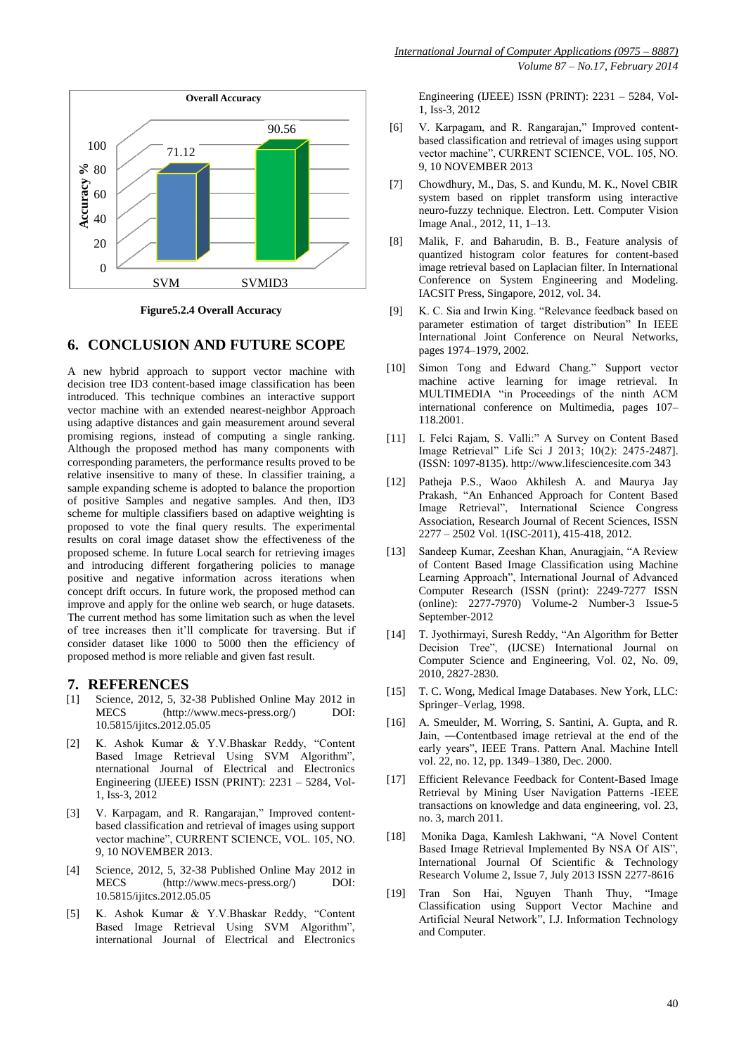

**Figure5.2.4 Overall Accuracy**

#### **6. CONCLUSION AND FUTURE SCOPE**

A new hybrid approach to support vector machine with decision tree ID3 content-based image classification has been introduced. This technique combines an interactive support vector machine with an extended nearest-neighbor Approach using adaptive distances and gain measurement around several promising regions, instead of computing a single ranking. Although the proposed method has many components with corresponding parameters, the performance results proved to be relative insensitive to many of these. In classifier training, a sample expanding scheme is adopted to balance the proportion of positive Samples and negative samples. And then, ID3 scheme for multiple classifiers based on adaptive weighting is proposed to vote the final query results. The experimental results on coral image dataset show the effectiveness of the proposed scheme. In future Local search for retrieving images and introducing different forgathering policies to manage positive and negative information across iterations when concept drift occurs. In future work, the proposed method can improve and apply for the online web search, or huge datasets. The current method has some limitation such as when the level of tree increases then it'll complicate for traversing. But if consider dataset like 1000 to 5000 then the efficiency of proposed method is more reliable and given fast result.

#### **7. REFERENCES**

- [1] Science, 2012, 5, 32-38 Published Online May 2012 in [\(http://www.mecs-press.org/\)](http://www.mecs-press.org/) DOI: 10.5815/ijitcs.2012.05.05
- [2] K. Ashok Kumar & Y.V.Bhaskar Reddy, "Content Based Image Retrieval Using SVM Algorithm", nternational Journal of Electrical and Electronics Engineering (IJEEE) ISSN (PRINT): 2231 – 5284, Vol-1, Iss-3, 2012
- [3] V. Karpagam, and R. Rangarajan," Improved contentbased classification and retrieval of images using support vector machine", CURRENT SCIENCE, VOL. 105, NO. 9, 10 NOVEMBER 2013.
- [4] Science, 2012, 5, 32-38 Published Online May 2012 in MECS [\(http://www.mecs-press.org/\)](http://www.mecs-press.org/) DOI: 10.5815/ijitcs.2012.05.05
- [5] K. Ashok Kumar & Y.V.Bhaskar Reddy, "Content Based Image Retrieval Using SVM Algorithm", international Journal of Electrical and Electronics

Engineering (IJEEE) ISSN (PRINT): 2231 – 5284, Vol-1, Iss-3, 2012

- [6] V. Karpagam, and R. Rangarajan," Improved contentbased classification and retrieval of images using support vector machine", CURRENT SCIENCE, VOL. 105, NO. 9, 10 NOVEMBER 2013
- [7] Chowdhury, M., Das, S. and Kundu, M. K., Novel CBIR system based on ripplet transform using interactive neuro-fuzzy technique. Electron. Lett. Computer Vision Image Anal., 2012, 11, 1–13.
- [8] Malik, F. and Baharudin, B. B., Feature analysis of quantized histogram color features for content-based image retrieval based on Laplacian filter. In International Conference on System Engineering and Modeling. IACSIT Press, Singapore, 2012, vol. 34.
- [9] K. C. Sia and Irwin King. "Relevance feedback based on parameter estimation of target distribution" In IEEE International Joint Conference on Neural Networks, pages 1974–1979, 2002.
- [10] Simon Tong and Edward Chang." Support vector machine active learning for image retrieval. In MULTIMEDIA "in Proceedings of the ninth ACM international conference on Multimedia, pages 107– 118.2001.
- [11] I. Felci Rajam, S. Valli:" A Survey on Content Based Image Retrieval" Life Sci J 2013; 10(2): 2475-2487]. (ISSN: 1097-8135). http://www.lifesciencesite.com 343
- [12] Patheja P.S., Waoo Akhilesh A. and Maurya Jay Prakash, "An Enhanced Approach for Content Based Image Retrieval", International Science Congress Association, Research Journal of Recent Sciences, ISSN 2277 – 2502 Vol. 1(ISC-2011), 415-418, 2012.
- [13] Sandeep Kumar, Zeeshan Khan, Anuragjain, "A Review of Content Based Image Classification using Machine Learning Approach", International Journal of Advanced Computer Research (ISSN (print): 2249-7277 ISSN (online): 2277-7970) Volume-2 Number-3 Issue-5 September-2012
- [14] T. Jyothirmayi, Suresh Reddy, "An Algorithm for Better Decision Tree", (IJCSE) International Journal on Computer Science and Engineering, Vol. 02, No. 09, 2010, 2827-2830.
- [15] T. C. Wong, Medical Image Databases. New York, LLC: Springer–Verlag, 1998.
- [16] A. Smeulder, M. Worring, S. Santini, A. Gupta, and R. Jain, ―Contentbased image retrieval at the end of the early years", IEEE Trans. Pattern Anal. Machine Intell vol. 22, no. 12, pp. 1349–1380, Dec. 2000.
- [17] Efficient Relevance Feedback for Content-Based Image Retrieval by Mining User Navigation Patterns -IEEE transactions on knowledge and data engineering, vol. 23, no. 3, march 2011.
- [18] Monika Daga, Kamlesh Lakhwani, "A Novel Content Based Image Retrieval Implemented By NSA Of AIS", International Journal Of Scientific & Technology Research Volume 2, Issue 7, July 2013 ISSN 2277-8616
- [19] Tran Son Hai, Nguyen Thanh Thuy, "Image Classification using Support Vector Machine and Artificial Neural Network", I.J. Information Technology and Computer.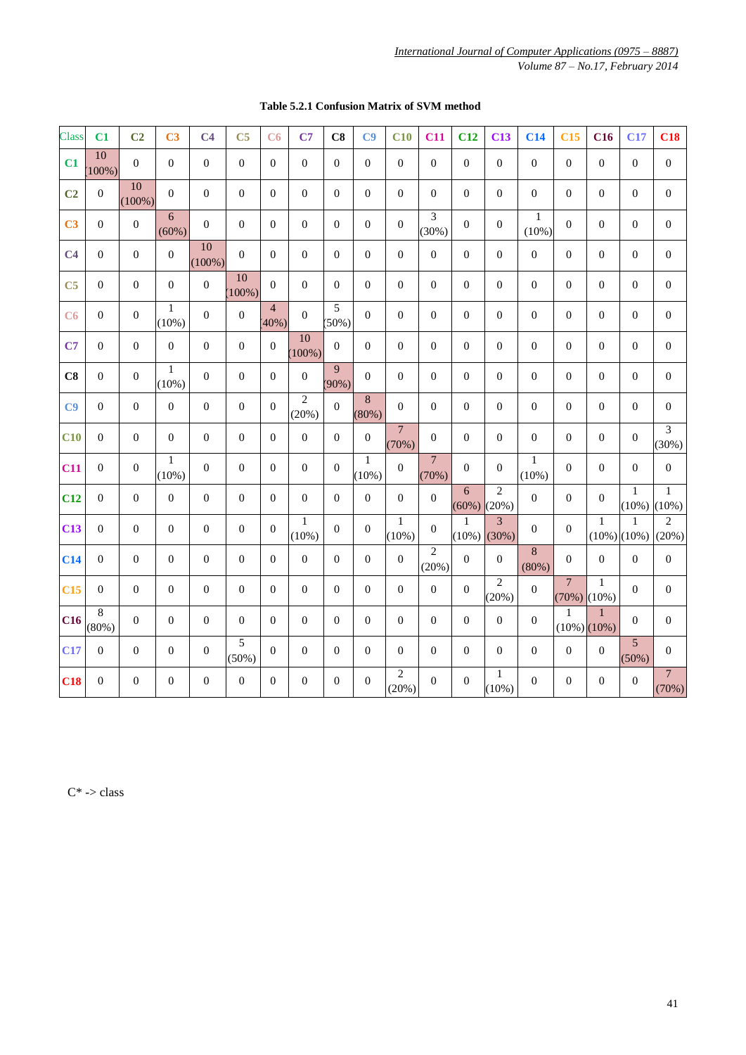| <b>Class</b>    | C1             | C <sub>2</sub>   | C <sub>3</sub>           | C <sub>4</sub>   | C <sub>5</sub>   | C6                      | C7                      | C8             | C9                    | C10                      | C11                     | C12              | C13                        | C14                      | C15                               | C16                   | C17                   | C18                      |
|-----------------|----------------|------------------|--------------------------|------------------|------------------|-------------------------|-------------------------|----------------|-----------------------|--------------------------|-------------------------|------------------|----------------------------|--------------------------|-----------------------------------|-----------------------|-----------------------|--------------------------|
| C1              | 10<br>100%)    | $\overline{0}$   | $\Omega$                 | $\theta$         | $\overline{0}$   | $\overline{0}$          | $\overline{0}$          | $\Omega$       | $\mathbf{0}$          | $\Omega$                 | $\Omega$                | $\theta$         | $\theta$                   | $\theta$                 | $\Omega$                          | $\Omega$              | $\mathbf{0}$          | $\mathbf{0}$             |
| C <sub>2</sub>  | $\overline{0}$ | 10<br>$(100\%)$  | $\overline{0}$           | $\overline{0}$   | $\overline{0}$   | $\overline{0}$          | $\overline{0}$          | $\Omega$       | $\mathbf{0}$          | $\mathbf{0}$             | $\mathbf{0}$            | $\theta$         | $\overline{0}$             | $\theta$                 | $\theta$                          | $\mathbf{0}$          | $\mathbf{0}$          | $\overline{0}$           |
| C <sub>3</sub>  | $\Omega$       | $\mathbf{0}$     | 6<br>(60%)               | $\Omega$         | $\overline{0}$   | $\Omega$                | $\Omega$                | $\Omega$       | $\mathbf{0}$          | $\Omega$                 | 3<br>(30%)              | $\Omega$         | $\theta$                   | $\mathbf{1}$<br>(10%)    | $\Omega$                          | $\Omega$              | $\Omega$              | $\Omega$                 |
| C <sub>4</sub>  | $\overline{0}$ | $\overline{0}$   | $\theta$                 | 10<br>$(100\%)$  | $\overline{0}$   | $\theta$                | $\overline{0}$          | $\Omega$       | $\mathbf{0}$          | $\Omega$                 | $\mathbf{0}$            | $\overline{0}$   | $\overline{0}$             | $\overline{0}$           | $\Omega$                          | $\Omega$              | $\mathbf{0}$          | $\overline{0}$           |
| C <sub>5</sub>  | $\Omega$       | $\Omega$         | $\Omega$                 | $\boldsymbol{0}$ | 10<br>100%)      | $\Omega$                | $\Omega$                | $\Omega$       | $\Omega$              | $\Omega$                 | $\Omega$                | $\Omega$         | $\theta$                   | $\theta$                 | $\Omega$                          | $\Omega$              | $\Omega$              | $\Omega$                 |
| C6              | $\Omega$       | $\mathbf{0}$     | $\mathbf{1}$<br>$(10\%)$ | $\Omega$         | $\mathbf{0}$     | $\overline{4}$<br>(40%) | $\Omega$                | 5<br>(50%)     | $\Omega$              | $\Omega$                 | $\Omega$                | $\theta$         | $\theta$                   | $\theta$                 | $\Omega$                          | $\Omega$              | $\mathbf{0}$          | $\Omega$                 |
| C7              | $\overline{0}$ | $\boldsymbol{0}$ | $\Omega$                 | $\overline{0}$   | $\overline{0}$   | $\theta$                | 10<br>100%)             | $\Omega$       | $\Omega$              | $\theta$                 | $\mathbf{0}$            | $\overline{0}$   | $\overline{0}$             | $\theta$                 | $\Omega$                          | $\overline{0}$        | $\mathbf{0}$          | $\boldsymbol{0}$         |
| C8              | $\Omega$       | $\mathbf{0}$     | $\mathbf{1}$<br>$(10\%)$ | $\Omega$         | $\overline{0}$   | $\Omega$                | $\mathbf{0}$            | 9<br>(90%)     | $\Omega$              | $\Omega$                 | $\Omega$                | $\overline{0}$   | $\theta$                   | $\theta$                 | $\Omega$                          | $\Omega$              | $\mathbf{0}$          | $\boldsymbol{0}$         |
| C9              | $\Omega$       | $\Omega$         | $\overline{0}$           | $\theta$         | $\overline{0}$   | $\Omega$                | $\overline{2}$<br>(20%) | $\overline{0}$ | 8<br>(80%)            | $\Omega$                 | $\Omega$                | $\theta$         | $\theta$                   | $\theta$                 | $\Omega$                          | $\theta$              | $\mathbf{0}$          | $\boldsymbol{0}$         |
| C10             | $\overline{0}$ | $\boldsymbol{0}$ | $\Omega$                 | $\boldsymbol{0}$ | $\boldsymbol{0}$ | $\overline{0}$          | $\overline{0}$          | $\Omega$       | $\boldsymbol{0}$      | $\overline{7}$<br>(70%)  | $\mathbf{0}$            | $\mathbf{0}$     | $\overline{0}$             | $\theta$                 | $\theta$                          | $\overline{0}$        | $\overline{0}$        | $\overline{3}$<br>(30%)  |
| C <sub>11</sub> | $\Omega$       | $\mathbf{0}$     | $\mathbf{1}$<br>(10%)    | $\Omega$         | $\overline{0}$   | $\Omega$                | $\Omega$                | $\Omega$       | $\mathbf{1}$<br>(10%) | $\overline{0}$           | $\overline{7}$<br>(70%) | $\Omega$         | $\Omega$                   | $\mathbf{1}$<br>$(10\%)$ | $\Omega$                          | $\Omega$              | $\Omega$              | $\mathbf{0}$             |
| C12             | $\overline{0}$ | $\theta$         | $\mathbf{0}$             | $\overline{0}$   | $\overline{0}$   | $\Omega$                | $\theta$                | $\Omega$       | $\mathbf{0}$          | $\Omega$                 | $\mathbf{0}$            | 6<br>(60%)       | $\overline{2}$<br>$(20\%)$ | $\Omega$                 | $\Omega$                          | $\Omega$              | $\mathbf{1}$<br>(10%) | $\mathbf{1}$<br>$(10\%)$ |
| C13             | $\overline{0}$ | $\overline{0}$   | $\overline{0}$           | $\overline{0}$   | $\boldsymbol{0}$ | $\theta$                | $\mathbf{1}$<br>(10%)   | $\mathbf{0}$   | $\mathbf{0}$          | $\mathbf{1}$<br>$(10\%)$ | $\mathbf{0}$            | 1<br>(10%)       | 3<br>(30%)                 | $\overline{0}$           | $\mathbf{0}$                      | $\mathbf{1}$          | 1<br>$(10\%)$ (10%)   | $\overline{2}$<br>(20%)  |
| C14             | $\Omega$       | $\mathbf{0}$     | $\overline{0}$           | $\theta$         | $\overline{0}$   | $\Omega$                | $\overline{0}$          | $\Omega$       | $\mathbf{0}$          | $\overline{0}$           | $\overline{2}$<br>(20%) | $\overline{0}$   | $\theta$                   | 8<br>(80%)               | $\Omega$                          | $\Omega$              | $\Omega$              | $\mathbf{0}$             |
| C15             | $\overline{0}$ | $\boldsymbol{0}$ | $\boldsymbol{0}$         | $\overline{0}$   | $\overline{0}$   | $\mathbf{0}$            | $\overline{0}$          | $\Omega$       | $\mathbf{0}$          | $\Omega$                 | $\mathbf{0}$            | $\mathbf{0}$     | $\overline{2}$<br>(20%)    | $\boldsymbol{0}$         | $\overline{7}$<br>(70%)           | $\mathbf{1}$<br>(10%) | $\Omega$              | $\mathbf{0}$             |
| C16             | 8<br>(80%)     | $\theta$         | $\Omega$                 | $\Omega$         | $\Omega$         | $\Omega$                | $\Omega$                | $\Omega$       | $\Omega$              | $\Omega$                 | $\Omega$                | $\Omega$         | $\Omega$                   | $\Omega$                 | $\mathbf{1}$<br>$(10\%)$ $(10\%)$ | $\mathbf{1}$          | $\Omega$              | $\theta$                 |
| C17             | $\overline{0}$ | $\boldsymbol{0}$ | $\boldsymbol{0}$         | $\boldsymbol{0}$ | 5<br>(50%)       | $\Omega$                | $\theta$                | $\Omega$       | $\Omega$              | $\Omega$                 | $\overline{0}$          | $\theta$         | $\Omega$                   | $\Omega$                 | $\Omega$                          | $\mathbf{0}$          | 5<br>(50%)            | $\Omega$                 |
| C18             | $\overline{0}$ | $\mathbf{0}$     | $\mathbf{0}$             | $\boldsymbol{0}$ | $\boldsymbol{0}$ | $\overline{0}$          | $\boldsymbol{0}$        | $\mathbf{0}$   | $\boldsymbol{0}$      | $\overline{2}$<br>(20%)  | $\mathbf{0}$            | $\boldsymbol{0}$ | $\mathbf{1}$<br>$(10\%)$   | $\boldsymbol{0}$         | $\boldsymbol{0}$                  | $\overline{0}$        | $\boldsymbol{0}$      | $\overline{7}$<br>(70%)  |

## **Table 5.2.1 Confusion Matrix of SVM method**

 $C^*$  -> class